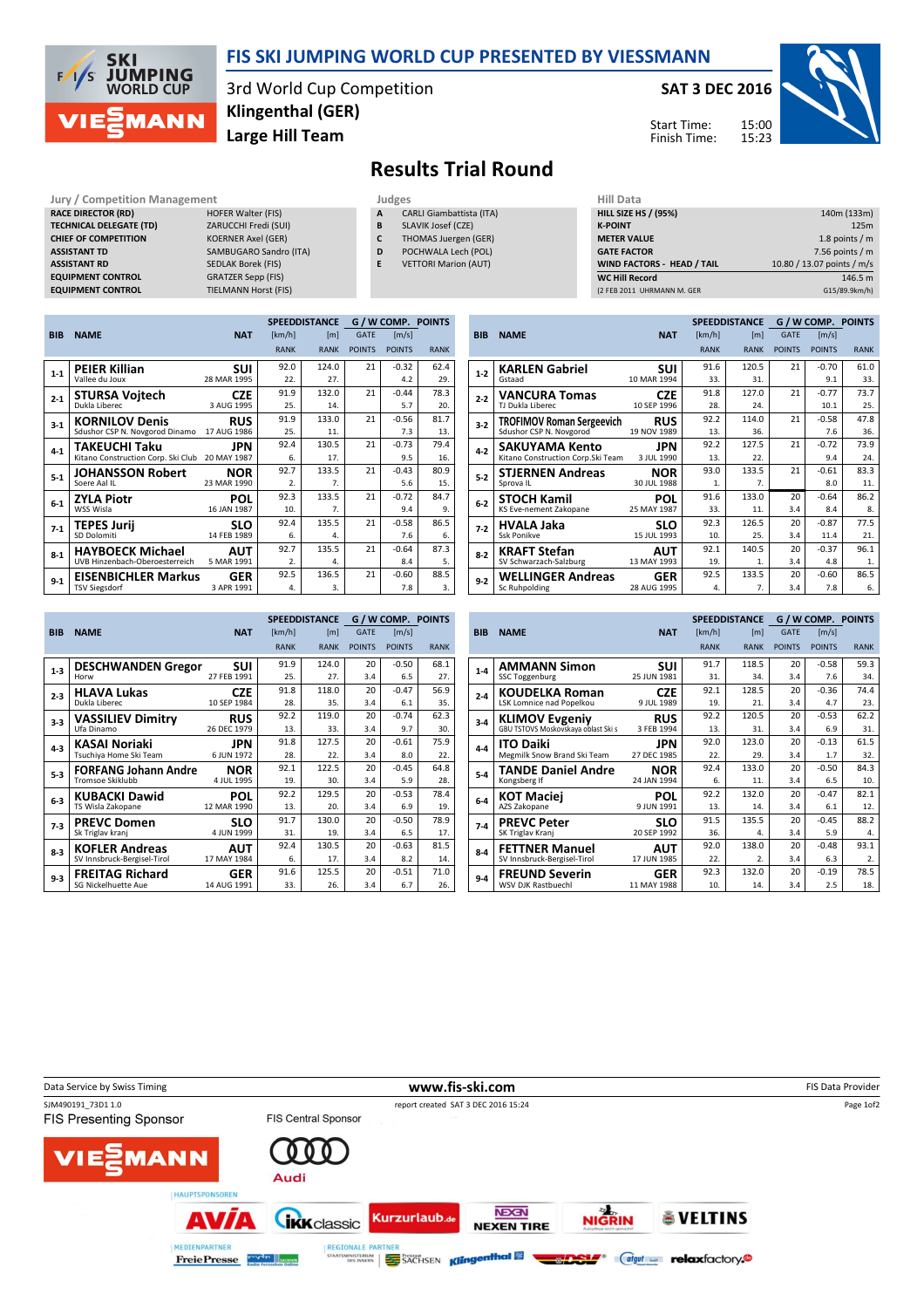

### FIS SKI JUMPING WORLD CUP PRESENTED BY VIESSMANN

3rd World Cup Competition Large Hill Team Klingenthal (GER)

#### SAT 3 DEC 2016





# Results Trial Round

#### RACE DIRECTOR (RD) TECHNICAL DELEGATE (TD) CHIEF OF COMPETITION **ASSISTANT RD EQUIPMENT CONTROL EQUIPMENT CONTROL**

| Jury / Competition Management  |                             | Judges | <b>Hill Dat</b>                 |                  |
|--------------------------------|-----------------------------|--------|---------------------------------|------------------|
| <b>RACE DIRECTOR (RD)</b>      | <b>HOFER Walter (FIS)</b>   | A      | <b>CARLI Giambattista (ITA)</b> | <b>HILL SIZE</b> |
| <b>TECHNICAL DELEGATE (TD)</b> | ZARUCCHI Fredi (SUI)        | B      | SLAVIK Josef (CZE)              | <b>K-POINT</b>   |
| <b>CHIEF OF COMPETITION</b>    | <b>KOERNER Axel (GER)</b>   | C      | THOMAS Juergen (GER)            | <b>METER VA</b>  |
| <b>ASSISTANT TD</b>            | SAMBUGARO Sandro (ITA)      | D      | POCHWALA Lech (POL)             | <b>GATE FAC</b>  |
| <b>ASSISTANT RD</b>            | <b>SEDLAK Borek (FIS)</b>   |        | <b>VETTORI Marion (AUT)</b>     | <b>WIND FA</b>   |
| <b>EQUIPMENT CONTROL</b>       | <b>GRATZER Sepp (FIS)</b>   |        |                                 | <b>WC Hill R</b> |
| <b>EQUIPMENT CONTROL</b>       | <b>TIELMANN Horst (FIS)</b> |        |                                 | (2 FEB 2011      |

- A CARLI Giambattista (ITA)
- B SLAVIK Josef (CZE)
- C THOMAS Juergen (GER)
- D POCHWALA Lech (POL)
- E VETTORI Marion (AUT)

| nuu wata                          |                            |
|-----------------------------------|----------------------------|
| <b>HILL SIZE HS / (95%)</b>       | 140m (133m)                |
| <b>K-POINT</b>                    | 125m                       |
| <b>METER VALUE</b>                | 1.8 points $/m$            |
| <b>GATE FACTOR</b>                | 7.56 points $/m$           |
| <b>WIND FACTORS - HEAD / TAIL</b> | 10.80 / 13.07 points / m/s |
| <b>WC Hill Record</b>             | 146.5 m                    |
| (2 FEB 2011 UHRMANN M. GER        | G15/89.9km/h)              |

|            |                                    |             |                  | <b>SPEEDDISTANCE</b> |               | G / W COMP. POINTS |             |
|------------|------------------------------------|-------------|------------------|----------------------|---------------|--------------------|-------------|
| <b>BIB</b> | <b>NAME</b>                        | <b>NAT</b>  | [km/h]           | [m]                  | <b>GATE</b>   | [m/s]              |             |
|            |                                    |             | <b>RANK</b>      | <b>RANK</b>          | <b>POINTS</b> | <b>POINTS</b>      | <b>RANK</b> |
| $1 - 1$    | <b>PEIER Killian</b>               | SUI         | 92.0             | 124.0                | 21            | $-0.32$            | 62.4        |
|            | Vallee du Joux                     | 28 MAR 1995 | 22.              | 27.                  |               | 4.2                | 29.         |
| $2 - 1$    | <b>STURSA Vojtech</b>              | <b>CZE</b>  | 91.9             | 132.0                | 21            | $-0.44$            | 78.3        |
|            | Dukla Liberec                      | 3 AUG 1995  | 25.              | 14.                  |               | 5.7                | 20.         |
| $3 - 1$    | <b>KORNILOV Denis</b>              | <b>RUS</b>  | 91.9             | 133.0                | 21            | $-0.56$            | 81.7        |
|            | Sdushor CSP N. Novgorod Dinamo     | 17 AUG 1986 | 25.              | 11.                  |               | 7.3                | 13.         |
| $4 - 1$    | TAKEUCHI Taku                      | JPN         | 92.4             | 130.5                | 21            | $-0.73$            | 79.4        |
|            | Kitano Construction Corp. Ski Club | 20 MAY 1987 | 6.               | 17.                  |               | 9.5                | 16.         |
| $5 - 1$    | <b>JOHANSSON Robert</b>            | <b>NOR</b>  | 92.7             | 133.5                | 21            | $-0.43$            | 80.9        |
|            | Soere Aal IL                       | 23 MAR 1990 | $\overline{2}$ . | $\overline{7}$ .     |               | 5.6                | 15.         |
| $6-1$      | <b>ZYLA Piotr</b>                  | POL         | 92.3             | 133.5                | 21            | $-0.72$            | 84.7        |
|            | WSS Wisla                          | 16 JAN 1987 | 10.              | 7.                   |               | 9.4                | 9.          |
| $7-1$      | <b>TEPES Jurii</b>                 | SLO         | 92.4             | 135.5                | 21            | $-0.58$            | 86.5        |
|            | SD Dolomiti                        | 14 FEB 1989 | 6.               | 4.                   |               | 7.6                | 6.          |
| $8-1$      | <b>HAYBOECK Michael</b>            | <b>AUT</b>  | 92.7             | 135.5                | 21            | $-0.64$            | 87.3        |
|            | UVB Hinzenbach-Oberoesterreich     | 5 MAR 1991  | 2.               | 4.                   |               | 8.4                | 5.          |
| $9 - 1$    | <b>EISENBICHLER Markus</b>         | <b>GER</b>  | 92.5             | 136.5                | 21            | $-0.60$            | 88.5        |
|            | <b>TSV Siegsdorf</b>               | 3 APR 1991  | 4.               | 3.                   |               | 7.8                | 3.          |

|            |                                   |             |             | <b>SPEEDDISTANCE</b> |               | G / W COMP. POINTS |             |
|------------|-----------------------------------|-------------|-------------|----------------------|---------------|--------------------|-------------|
| <b>BIB</b> | <b>NAME</b>                       | <b>NAT</b>  | [km/h]      | [ <sub>m</sub> ]     | <b>GATE</b>   | [m/s]              |             |
|            |                                   |             | <b>RANK</b> | <b>RANK</b>          | <b>POINTS</b> | <b>POINTS</b>      | <b>RANK</b> |
| $1 - 2$    | <b>KARLEN Gabriel</b>             | suı         | 91.6        | 120.5                | 21            | $-0.70$            | 61.0        |
|            | Gstaad                            | 10 MAR 1994 | 33.         | 31.                  |               | 9.1                | 33.         |
| $2 - 2$    | <b>VANCURA Tomas</b>              | <b>CZE</b>  | 91.8        | 127.0                | 21            | $-0.77$            | 73.7        |
|            | TJ Dukla Liberec                  | 10 SEP 1996 | 28.         | 24.                  |               | 10.1               | 25.         |
| $3 - 2$    | <b>TROFIMOV Roman Sergeevich</b>  | <b>RUS</b>  | 92.2        | 114.0                | 21            | $-0.58$            | 47.8        |
|            | Sdushor CSP N. Novgorod           | 19 NOV 1989 | 13.         | 36.                  |               | 7.6                | 36.         |
| $4 - 2$    | <b>SAKUYAMA Kento</b>             | JPN         | 92.2        | 127.5                | 21            | $-0.72$            | 73.9        |
|            | Kitano Construction Corp.Ski Team | 3 JUL 1990  | 13.         | 22.                  |               | 9.4                | 24.         |
| $5 - 2$    | <b>STJERNEN Andreas</b>           | <b>NOR</b>  | 93.0        | 133.5                | 21            | $-0.61$            | 83.3        |
|            | Sprova IL                         | 30 JUL 1988 | 1.          | 7.                   |               | 8.0                | 11.         |
| $6-2$      | <b>STOCH Kamil</b>                | POL         | 91.6        | 133.0                | 20            | $-0.64$            | 86.2        |
|            | KS Eve-nement Zakopane            | 25 MAY 1987 | 33.         | 11.                  | 3.4           | 8.4                | 8.          |
| $7-2$      | HVALA Jaka                        | <b>SLO</b>  | 92.3        | 126.5                | 20            | $-0.87$            | 77.5        |
|            | Ssk Ponikve                       | 15 JUL 1993 | 10.         | 25.                  | 3.4           | 11.4               | 21.         |
| $8 - 2$    | <b>KRAFT Stefan</b>               | AUT         | 92.1        | 140.5                | 20            | $-0.37$            | 96.1        |
|            | SV Schwarzach-Salzburg            | 13 MAY 1993 | 19.         | 1.                   | 3.4           | 4.8                | 1.          |
| $9 - 2$    | <b>WELLINGER Andreas</b>          | GER         | 92.5        | 133.5                | 20            | $-0.60$            | 86.5        |
|            | Sc Ruhpolding                     | 28 AUG 1995 | 4.          | 7.                   | 3.4           | 7.8                | 6.          |

|            |                             |             |             | <b>SPEEDDISTANCE</b> |               | G / W COMP. POINTS    |             |
|------------|-----------------------------|-------------|-------------|----------------------|---------------|-----------------------|-------------|
| <b>BIB</b> | <b>NAME</b>                 | <b>NAT</b>  | [km/h]      | [m]                  | <b>GATE</b>   | $\lfloor m/s \rfloor$ |             |
|            |                             |             | <b>RANK</b> | <b>RANK</b>          | <b>POINTS</b> | <b>POINTS</b>         | <b>RANK</b> |
| $1-3$      | <b>DESCHWANDEN Gregor</b>   | SUI         | 91.9        | 124.0                | 20            | $-0.50$               | 68.1        |
|            | Horw                        | 27 FEB 1991 | 25.         | 27.                  | 3.4           | 6.5                   | 27.         |
| $2 - 3$    | <b>HLAVA Lukas</b>          | <b>CZE</b>  | 91.8        | 118.0                | 20            | $-0.47$               | 56.9        |
|            | Dukla Liberec               | 10 SEP 1984 | 28.         | 35.                  | 3.4           | 6.1                   | 35.         |
| $3-3$      | <b>VASSILIEV Dimitry</b>    | <b>RUS</b>  | 92.2        | 119.0                | 20            | $-0.74$               | 62.3        |
|            | Ufa Dinamo                  | 26 DEC 1979 | 13.         | 33.                  | 3.4           | 9.7                   | 30.         |
| $4 - 3$    | <b>KASAI Noriaki</b>        | JPN         | 91.8        | 127.5                | 20            | $-0.61$               | 75.9        |
|            | Tsuchiya Home Ski Team      | 6 JUN 1972  | 28.         | 22.                  | 3.4           | 8.0                   | 22.         |
| $5 - 3$    | <b>FORFANG Johann Andre</b> | <b>NOR</b>  | 92.1        | 122.5                | 20            | $-0.45$               | 64.8        |
|            | Tromsoe Skiklubb            | 4 JUL 1995  | 19.         | 30.                  | 3.4           | 5.9                   | 28.         |
| $6-3$      | <b>KUBACKI Dawid</b>        | <b>POL</b>  | 92.2        | 129.5                | 20            | $-0.53$               | 78.4        |
|            | TS Wisla Zakopane           | 12 MAR 1990 | 13.         | 20.                  | 3.4           | 6.9                   | 19.         |
| $7-3$      | <b>PREVC Domen</b>          | SLO         | 91.7        | 130.0                | 20            | $-0.50$               | 78.9        |
|            | Sk Triglav kranj            | 4 JUN 1999  | 31.         | 19.                  | 3.4           | 6.5                   | 17.         |
| $8-3$      | <b>KOFLER Andreas</b>       | AUT         | 92.4        | 130.5                | 20            | $-0.63$               | 81.5        |
|            | SV Innsbruck-Bergisel-Tirol | 17 MAY 1984 | 6.          | 17.                  | 3.4           | 8.2                   | 14.         |
| $9-3$      | <b>FREITAG Richard</b>      | GER         | 91.6        | 125.5                | 20            | $-0.51$               | 71.0        |
|            | <b>SG Nickelhuette Aue</b>  | 14 AUG 1991 | 33.         | 26.                  | 3.4           | 6.7                   | 26.         |

|            |                                     |             |             | <b>SPEEDDISTANCE</b> |               | G / W COMP. POINTS |             |
|------------|-------------------------------------|-------------|-------------|----------------------|---------------|--------------------|-------------|
| <b>BIB</b> | <b>NAME</b>                         | <b>NAT</b>  | [km/h]      | [ <sub>m</sub> ]     | <b>GATE</b>   | [m/s]              |             |
|            |                                     |             | <b>RANK</b> | <b>RANK</b>          | <b>POINTS</b> | <b>POINTS</b>      | <b>RANK</b> |
| $1 - 4$    | <b>AMMANN Simon</b>                 | SUI         | 91.7        | 118.5                | 20            | $-0.58$            | 59.3        |
|            | <b>SSC Toggenburg</b>               | 25 JUN 1981 | 31.         | 34.                  | 3.4           | 7.6                | 34.         |
| $2 - 4$    | <b>KOUDELKA Roman</b>               | <b>CZE</b>  | 92.1        | 128.5                | 20            | $-0.36$            | 74.4        |
|            | LSK Lomnice nad Popelkou            | 9 JUL 1989  | 19.         | 21.                  | 3.4           | 4.7                | 23.         |
| $3 - 4$    | <b>KLIMOV Evgeniy</b>               | <b>RUS</b>  | 92.2        | 120.5                | 20            | $-0.53$            | 62.2        |
|            | GBU TSTOVS Moskovskaya oblast Ski s | 3 FEB 1994  | 13.         | 31.                  | 3.4           | 6.9                | 31.         |
| $4 - 4$    | <b>ITO Daiki</b>                    | JPN         | 92.0        | 123.0                | 20            | $-0.13$            | 61.5        |
|            | Megmilk Snow Brand Ski Team         | 27 DEC 1985 | 22.         | 29.                  | 3.4           | 1.7                | 32.         |
| $5 - 4$    | <b>TANDE Daniel Andre</b>           | <b>NOR</b>  | 92.4        | 133.0                | 20            | $-0.50$            | 84.3        |
|            | Kongsberg If                        | 24 JAN 1994 | 6.          | 11.                  | 3.4           | 6.5                | 10.         |
| $6 - 4$    | <b>KOT Maciei</b>                   | POL         | 92.2        | 132.0                | 20            | $-0.47$            | 82.1        |
|            | AZS Zakopane                        | 9 JUN 1991  | 13.         | 14.                  | 3.4           | 6.1                | 12.         |
| $7-4$      | <b>PREVC Peter</b>                  | <b>SLO</b>  | 91.5        | 135.5                | 20            | $-0.45$            | 88.2        |
|            | SK Triglav Kranj                    | 20 SEP 1992 | 36.         | 4.                   | 3.4           | 5.9                | 4.          |
| $8 - 4$    | <b>FETTNER Manuel</b>               | AUT         | 92.0        | 138.0                | 20            | $-0.48$            | 93.1        |
|            | SV Innsbruck-Bergisel-Tirol         | 17 JUN 1985 | 22.         | 2.                   | 3.4           | 6.3                | 2.          |
| $9 - 4$    | <b>FREUND Severin</b>               | GER         | 92.3        | 132.0                | 20            | $-0.19$            | 78.5        |
|            | <b>WSV DJK Rastbuechl</b>           | 11 MAY 1988 | 10.         | 14.                  | 3.4           | 2.5                | 18.         |